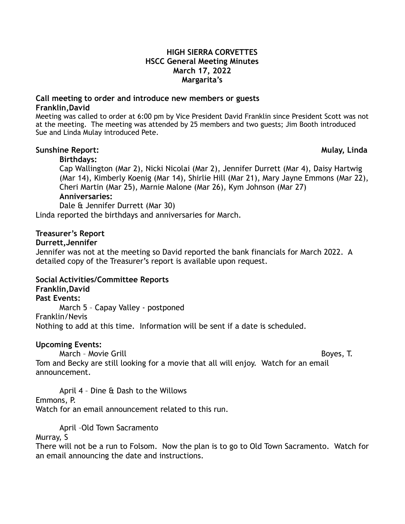# **HIGH SIERRA CORVETTES HSCC General Meeting Minutes March 17, 2022 Margarita's**

#### **Call meeting to order and introduce new members or guests Franklin,David**

Meeting was called to order at 6:00 pm by Vice President David Franklin since President Scott was not at the meeting. The meeting was attended by 25 members and two guests; Jim Booth introduced Sue and Linda Mulay introduced Pete.

# **Sunshine Report: Mulay, Linda**

# **Birthdays:**

Cap Wallington (Mar 2), Nicki Nicolai (Mar 2), Jennifer Durrett (Mar 4), Daisy Hartwig (Mar 14), Kimberly Koenig (Mar 14), Shirlie Hill (Mar 21), Mary Jayne Emmons (Mar 22), Cheri Martin (Mar 25), Marnie Malone (Mar 26), Kym Johnson (Mar 27) **Anniversaries:** 

Dale & Jennifer Durrett (Mar 30)

Linda reported the birthdays and anniversaries for March.

# **Treasurer's Report**

# **Durrett,Jennifer**

Jennifer was not at the meeting so David reported the bank financials for March 2022. A detailed copy of the Treasurer's report is available upon request.

# **Social Activities/Committee Reports**

# **Franklin,David**

# **Past Events:**

March 5 – Capay Valley - postponed

Franklin/Nevis

Nothing to add at this time. Information will be sent if a date is scheduled.

# **Upcoming Events:**

March - Movie Grill Boyes, T. Tom and Becky are still looking for a movie that all will enjoy. Watch for an email announcement.

April 4 – Dine & Dash to the Willows Emmons, P.

Watch for an email announcement related to this run.

April –Old Town Sacramento

Murray, S

There will not be a run to Folsom. Now the plan is to go to Old Town Sacramento. Watch for an email announcing the date and instructions.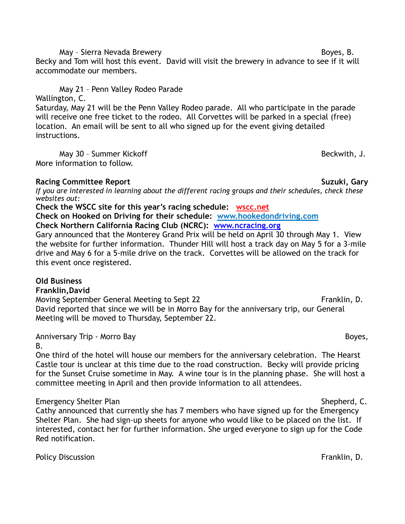May - Sierra Nevada Brewery Boyes, B. Becky and Tom will host this event. David will visit the brewery in advance to see if it will accommodate our members.

May 21 – Penn Valley Rodeo Parade

Wallington, C.

Saturday, May 21 will be the Penn Valley Rodeo parade. All who participate in the parade will receive one free ticket to the rodeo. All Corvettes will be parked in a special (free) location. An email will be sent to all who signed up for the event giving detailed instructions.

May 30 - Summer Kickoff Beckwith, J. More information to follow.

# **Racing Committee Report Suzuki, Gary According Committee Report** Suzuki, Gary **Suzuki, Gary 31**

*If you are interested in learning about the different racing groups and their schedules, check these websites out:* 

**Check the WSCC site for this year's racing schedule: [wscc.net](https://wscc.net/)**

**Check on Hooked on Driving for their schedule: [www.hookedondriving.com](http://www.hookedondriving.com)**

# **Check Northern California Racing Club (NCRC): [www.ncracing.org](http://www.ncracing.org)**

Gary announced that the Monterey Grand Prix will be held on April 30 through May 1. View the website for further information. Thunder Hill will host a track day on May 5 for a 3-mile drive and May 6 for a 5-mile drive on the track. Corvettes will be allowed on the track for this event once registered.

# **Old Business**

**Franklin,David** 

Moving September General Meeting to Sept 22 Franklin, D. David reported that since we will be in Morro Bay for the anniversary trip, our General Meeting will be moved to Thursday, September 22.

# Anniversary Trip - Morro Bay Boyes, and the state of the state of the state of the state of the state of the state of the state of the state of the state of the state of the state of the state of the state of the state of

B.

One third of the hotel will house our members for the anniversary celebration. The Hearst Castle tour is unclear at this time due to the road construction. Becky will provide pricing for the Sunset Cruise sometime in May. A wine tour is in the planning phase. She will host a committee meeting in April and then provide information to all attendees.

# Emergency Shelter Plan Shepherd, C.

Cathy announced that currently she has 7 members who have signed up for the Emergency Shelter Plan. She had sign-up sheets for anyone who would like to be placed on the list. If interested, contact her for further information. She urged everyone to sign up for the Code Red notification.

Policy Discussion **Franklin**, D.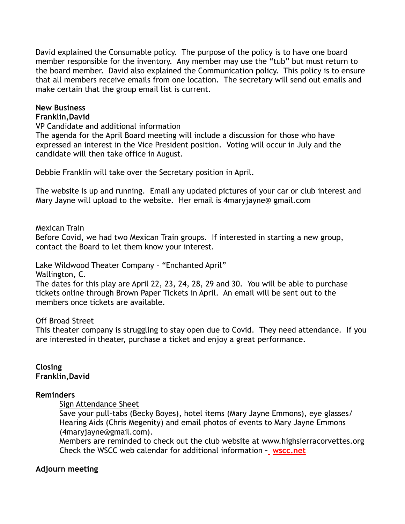David explained the Consumable policy. The purpose of the policy is to have one board member responsible for the inventory. Any member may use the "tub" but must return to the board member. David also explained the Communication policy. This policy is to ensure that all members receive emails from one location. The secretary will send out emails and make certain that the group email list is current.

# **New Business**

# **Franklin,David**

VP Candidate and additional information

The agenda for the April Board meeting will include a discussion for those who have expressed an interest in the Vice President position. Voting will occur in July and the candidate will then take office in August.

Debbie Franklin will take over the Secretary position in April.

The website is up and running. Email any updated pictures of your car or club interest and Mary Jayne will upload to the website. Her email is 4maryjayne@ gmail.com

Mexican Train

Before Covid, we had two Mexican Train groups. If interested in starting a new group, contact the Board to let them know your interest.

Lake Wildwood Theater Company – "Enchanted April"

Wallington, C.

The dates for this play are April 22, 23, 24, 28, 29 and 30. You will be able to purchase tickets online through Brown Paper Tickets in April. An email will be sent out to the members once tickets are available.

Off Broad Street

This theater company is struggling to stay open due to Covid. They need attendance. If you are interested in theater, purchase a ticket and enjoy a great performance.

**Closing Franklin,David**

# **Reminders**

Sign Attendance Sheet

Save your pull-tabs (Becky Boyes), hotel items (Mary Jayne Emmons), eye glasses/ Hearing Aids (Chris Megenity) and email photos of events to Mary Jayne Emmons (4maryjayne@gmail.com).

Members are reminded to check out the club website at www.highsierracorvettes.org Check the WSCC web calendar for additional information **– [wscc.net](https://wscc.net/)**

#### **Adjourn meeting**